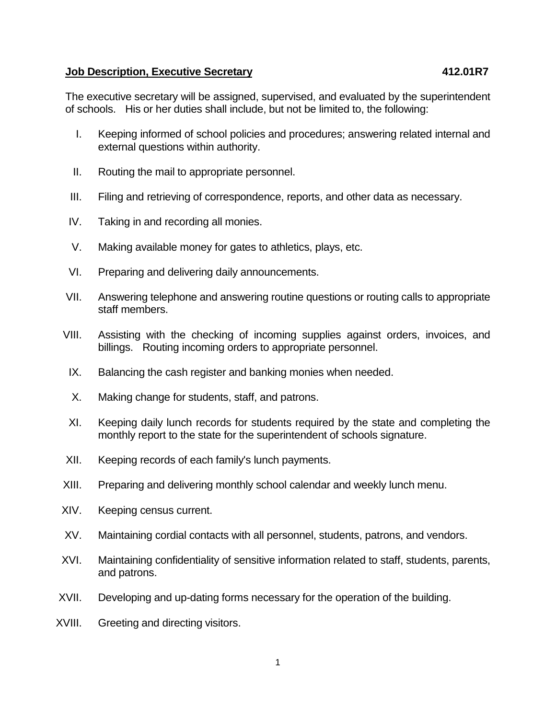## **Job Description, Executive Secretary 412.01R7**

The executive secretary will be assigned, supervised, and evaluated by the superintendent of schools. His or her duties shall include, but not be limited to, the following:

- I. Keeping informed of school policies and procedures; answering related internal and external questions within authority.
- II. Routing the mail to appropriate personnel.
- III. Filing and retrieving of correspondence, reports, and other data as necessary.
- IV. Taking in and recording all monies.
- V. Making available money for gates to athletics, plays, etc.
- VI. Preparing and delivering daily announcements.
- VII. Answering telephone and answering routine questions or routing calls to appropriate staff members.
- VIII. Assisting with the checking of incoming supplies against orders, invoices, and billings. Routing incoming orders to appropriate personnel.
- IX. Balancing the cash register and banking monies when needed.
- X. Making change for students, staff, and patrons.
- XI. Keeping daily lunch records for students required by the state and completing the monthly report to the state for the superintendent of schools signature.
- XII. Keeping records of each family's lunch payments.
- XIII. Preparing and delivering monthly school calendar and weekly lunch menu.
- XIV. Keeping census current.
- XV. Maintaining cordial contacts with all personnel, students, patrons, and vendors.
- XVI. Maintaining confidentiality of sensitive information related to staff, students, parents, and patrons.
- XVII. Developing and up-dating forms necessary for the operation of the building.
- XVIII. Greeting and directing visitors.